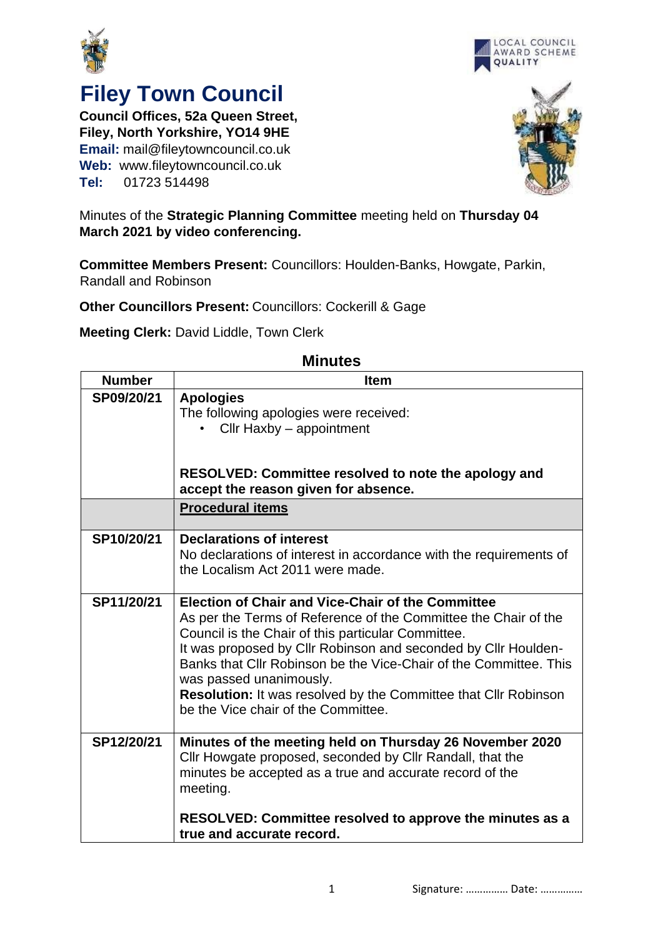



## **Filey Town Council**

**Council Offices, 52a Queen Street, Filey, North Yorkshire, YO14 9HE Email:** mail@fileytowncouncil.co.uk **Web:** www.fileytowncouncil.co.uk **Tel:** 01723 514498



Minutes of the **Strategic Planning Committee** meeting held on **Thursday 04 March 2021 by video conferencing.**

**Committee Members Present:** Councillors: Houlden-Banks, Howgate, Parkin, Randall and Robinson

**Other Councillors Present:** Councillors: Cockerill & Gage

**Meeting Clerk:** David Liddle, Town Clerk

| <b>Number</b> | <b>Item</b>                                                        |
|---------------|--------------------------------------------------------------------|
| SP09/20/21    | <b>Apologies</b>                                                   |
|               | The following apologies were received:                             |
|               | $Clir$ Haxby $-$ appointment                                       |
|               |                                                                    |
|               |                                                                    |
|               | RESOLVED: Committee resolved to note the apology and               |
|               | accept the reason given for absence.                               |
|               |                                                                    |
|               | <b>Procedural items</b>                                            |
| SP10/20/21    | <b>Declarations of interest</b>                                    |
|               |                                                                    |
|               | No declarations of interest in accordance with the requirements of |
|               | the Localism Act 2011 were made.                                   |
|               |                                                                    |
| SP11/20/21    | <b>Election of Chair and Vice-Chair of the Committee</b>           |
|               | As per the Terms of Reference of the Committee the Chair of the    |
|               | Council is the Chair of this particular Committee.                 |
|               | It was proposed by Cllr Robinson and seconded by Cllr Houlden-     |
|               | Banks that Cllr Robinson be the Vice-Chair of the Committee. This  |
|               | was passed unanimously.                                            |
|               | Resolution: It was resolved by the Committee that Cllr Robinson    |
|               | be the Vice chair of the Committee.                                |
|               |                                                                    |
| SP12/20/21    | Minutes of the meeting held on Thursday 26 November 2020           |
|               | Cllr Howgate proposed, seconded by Cllr Randall, that the          |
|               | minutes be accepted as a true and accurate record of the           |
|               | meeting.                                                           |
|               |                                                                    |
|               | RESOLVED: Committee resolved to approve the minutes as a           |
|               | true and accurate record.                                          |
|               |                                                                    |

## **Minutes**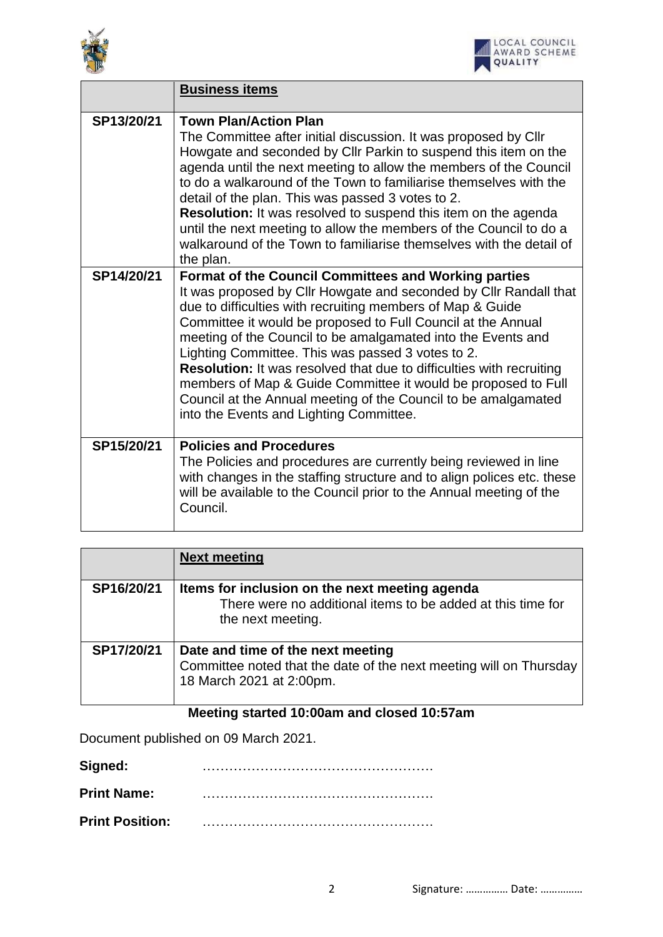



|            | <b>Business items</b>                                                                                                                                                                                                                                                                                                                                                                                                                                                                                                                                                                                                                     |
|------------|-------------------------------------------------------------------------------------------------------------------------------------------------------------------------------------------------------------------------------------------------------------------------------------------------------------------------------------------------------------------------------------------------------------------------------------------------------------------------------------------------------------------------------------------------------------------------------------------------------------------------------------------|
| SP13/20/21 | <b>Town Plan/Action Plan</b><br>The Committee after initial discussion. It was proposed by Cllr<br>Howgate and seconded by Cllr Parkin to suspend this item on the<br>agenda until the next meeting to allow the members of the Council<br>to do a walkaround of the Town to familiarise themselves with the<br>detail of the plan. This was passed 3 votes to 2.<br><b>Resolution:</b> It was resolved to suspend this item on the agenda<br>until the next meeting to allow the members of the Council to do a<br>walkaround of the Town to familiarise themselves with the detail of<br>the plan.                                      |
| SP14/20/21 | Format of the Council Committees and Working parties<br>It was proposed by Cllr Howgate and seconded by Cllr Randall that<br>due to difficulties with recruiting members of Map & Guide<br>Committee it would be proposed to Full Council at the Annual<br>meeting of the Council to be amalgamated into the Events and<br>Lighting Committee. This was passed 3 votes to 2.<br><b>Resolution:</b> It was resolved that due to difficulties with recruiting<br>members of Map & Guide Committee it would be proposed to Full<br>Council at the Annual meeting of the Council to be amalgamated<br>into the Events and Lighting Committee. |
| SP15/20/21 | <b>Policies and Procedures</b><br>The Policies and procedures are currently being reviewed in line<br>with changes in the staffing structure and to align polices etc. these<br>will be available to the Council prior to the Annual meeting of the<br>Council.                                                                                                                                                                                                                                                                                                                                                                           |

|            | <b>Next meeting</b>                                                                                                                 |
|------------|-------------------------------------------------------------------------------------------------------------------------------------|
| SP16/20/21 | Items for inclusion on the next meeting agenda<br>There were no additional items to be added at this time for<br>the next meeting.  |
| SP17/20/21 | Date and time of the next meeting<br>Committee noted that the date of the next meeting will on Thursday<br>18 March 2021 at 2:00pm. |

## **Meeting started 10:00am and closed 10:57am**

Document published on 09 March 2021.

| Signed:                |  |
|------------------------|--|
| <b>Print Name:</b>     |  |
| <b>Print Position:</b> |  |